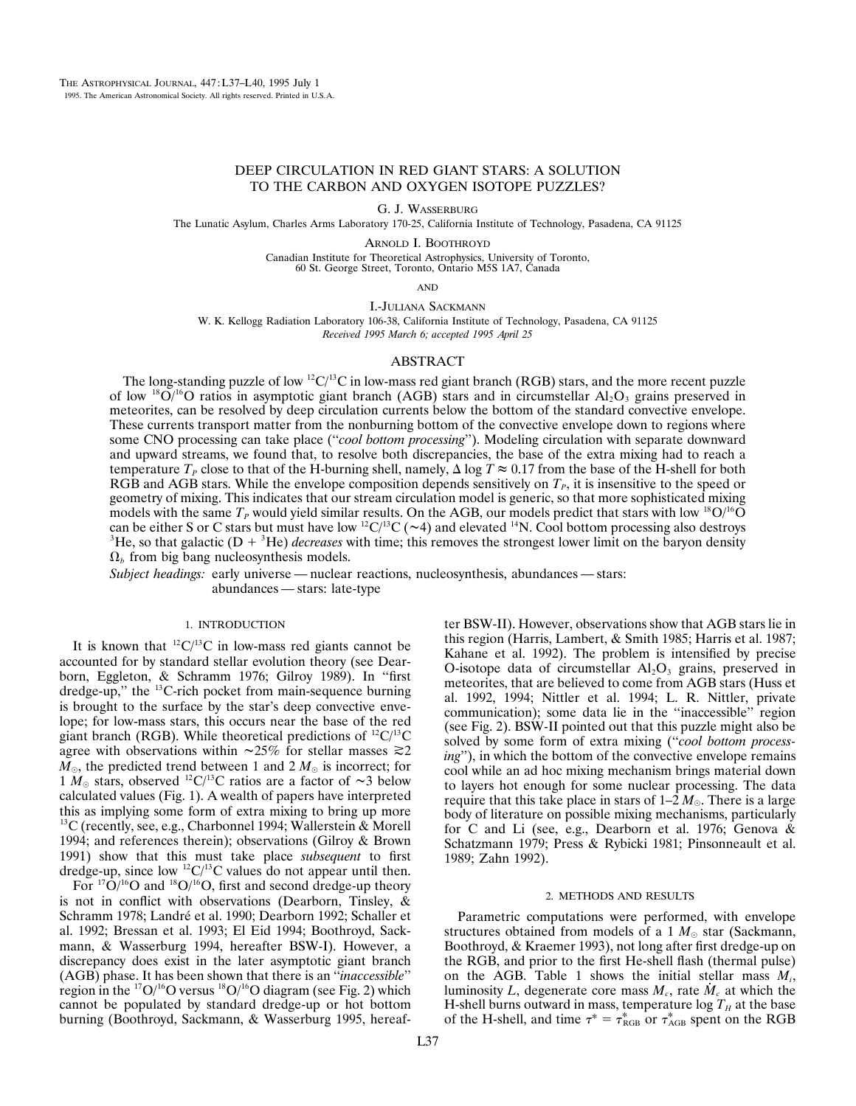# DEEP CIRCULATION IN RED GIANT STARS: A SOLUTION TO THE CARBON AND OXYGEN ISOTOPE PUZZLES?

G. J. WASSERBURG

The Lunatic Asylum, Charles Arms Laboratory 170-25, California Institute of Technology, Pasadena, CA 91125

ARNOLD I. BOOTHROYD

Canadian Institute for Theoretical Astrophysics, University of Toronto, 60 St. George Street, Toronto, Ontario M5S 1A7, Canada

AND

I.-JULIANA SACKMANN

W. K. Kellogg Radiation Laboratory 106-38, California Institute of Technology, Pasadena, CA 91125 *Received 1995 March 6; accepted 1995 April 25*

# ABSTRACT

The long-standing puzzle of low  ${}^{12}C/{}^{13}C$  in low-mass red giant branch (RGB) stars, and the more recent puzzle of low <sup>18</sup>O/<sup>16</sup>O ratios in asymptotic giant branch (AGB) stars and in circumstellar Al<sub>2</sub>O<sub>3</sub> grains preserved in meteorites, can be resolved by deep circulation currents below the bottom of the standard convective envelope. These currents transport matter from the nonburning bottom of the convective envelope down to regions where some CNO processing can take place (''*cool bottom processing*''). Modeling circulation with separate downward and upward streams, we found that, to resolve both discrepancies, the base of the extra mixing had to reach a temperature  $T_p$  close to that of the H-burning shell, namely,  $\Delta \log T \approx 0.17$  from the base of the H-shell for both RGB and AGB stars. While the envelope composition depends sensitively on  $T<sub>P</sub>$ , it is insensitive to the speed or geometry of mixing. This indicates that our stream circulation model is generic, so that more sophisticated mixing models with the same  $T_P$  would yield similar results. On the AGB, our models predict that stars with low <sup>18</sup>O/<sup>16</sup>O can be either S or C stars but must have low <sup>12</sup>C/<sup>13</sup>C ( $\sim$ 4) and elevated <sup>14</sup>N. Cool bottom processing also destroys  ${}^{3}$ He, so that galactic (D +  ${}^{3}$ He) *decreases* with time; this removes the strongest lower limit on the baryon density  $\Omega_b$  from big bang nucleosynthesis models.

*Subject headings:* early universe — nuclear reactions, nucleosynthesis, abundances — stars: abundances — stars: late-type

#### 1. INTRODUCTION

It is known that  ${}^{12}C/{}^{13}C$  in low-mass red giants cannot be accounted for by standard stellar evolution theory (see Dearborn, Eggleton, & Schramm 1976; Gilroy 1989). In ''first dredge-up," the <sup>13</sup>C-rich pocket from main-sequence burning is brought to the surface by the star's deep convective envelope; for low-mass stars, this occurs near the base of the red giant branch (RGB). While theoretical predictions of  $^{12}C/^{13}C$ agree with observations within  $\sim 25\%$  for stellar masses  $\gtrsim 2$  $M_{\odot}$ , the predicted trend between 1 and 2  $M_{\odot}$  is incorrect; for 1  $M_{\odot}$  stars, observed <sup>12</sup>C/<sup>13</sup>C ratios are a factor of  $\sim$ 3 below calculated values (Fig. 1). A wealth of papers have interpreted this as implying some form of extra mixing to bring up more  $^{13}$ C (recently, see, e.g., Charbonnel 1994; Wallerstein & Morell 1994; and references therein); observations (Gilroy & Brown 1991) show that this must take place *subsequent* to first dredge-up, since low  ${}^{12}C/{}^{13}C$  values do not appear until then.

For  $17O/16O$  and  $18O/16O$ , first and second dredge-up theory is not in conflict with observations (Dearborn, Tinsley, & Schramm 1978; Landré et al. 1990; Dearborn 1992; Schaller et al. 1992; Bressan et al. 1993; El Eid 1994; Boothroyd, Sackmann, & Wasserburg 1994, hereafter BSW-I). However, a discrepancy does exist in the later asymptotic giant branch (AGB) phase. It has been shown that there is an ''*inaccessible*'' region in the  $17O/16O$  versus  $18O/16O$  diagram (see Fig. 2) which cannot be populated by standard dredge-up or hot bottom burning (Boothroyd, Sackmann, & Wasserburg 1995, hereafter BSW-II). However, observations show that AGB stars lie in this region (Harris, Lambert, & Smith 1985; Harris et al. 1987; Kahane et al. 1992). The problem is intensified by precise O-isotope data of circumstellar  $Al_2O_3$  grains, preserved in meteorites, that are believed to come from AGB stars (Huss et al. 1992, 1994; Nittler et al. 1994; L. R. Nittler, private communication); some data lie in the ''inaccessible'' region (see Fig. 2). BSW-II pointed out that this puzzle might also be solved by some form of extra mixing (''*cool bottom processing*''), in which the bottom of the convective envelope remains cool while an ad hoc mixing mechanism brings material down to layers hot enough for some nuclear processing. The data require that this take place in stars of  $1-2 M_{\odot}$ . There is a large body of literature on possible mixing mechanisms, particularly for C and Li (see, e.g., Dearborn et al. 1976; Genova  $\&$ Schatzmann 1979; Press & Rybicki 1981; Pinsonneault et al. 1989; Zahn 1992).

### 2. METHODS AND RESULTS

Parametric computations were performed, with envelope structures obtained from models of a 1  $M_{\odot}$  star (Sackmann, Boothroyd, & Kraemer 1993), not long after first dredge-up on the RGB, and prior to the first He-shell flash (thermal pulse) on the AGB. Table 1 shows the initial stellar mass  $M_i$ , luminosity L, degenerate core mass  $M_c$ , rate  $M_c$  at which the H-shell burns outward in mass, temperature  $\log T_H$  at the base of the H-shell, and time  $\tau^* = \tau_{RGB}^*$  or  $\tau_{AGB}^*$  spent on the RGB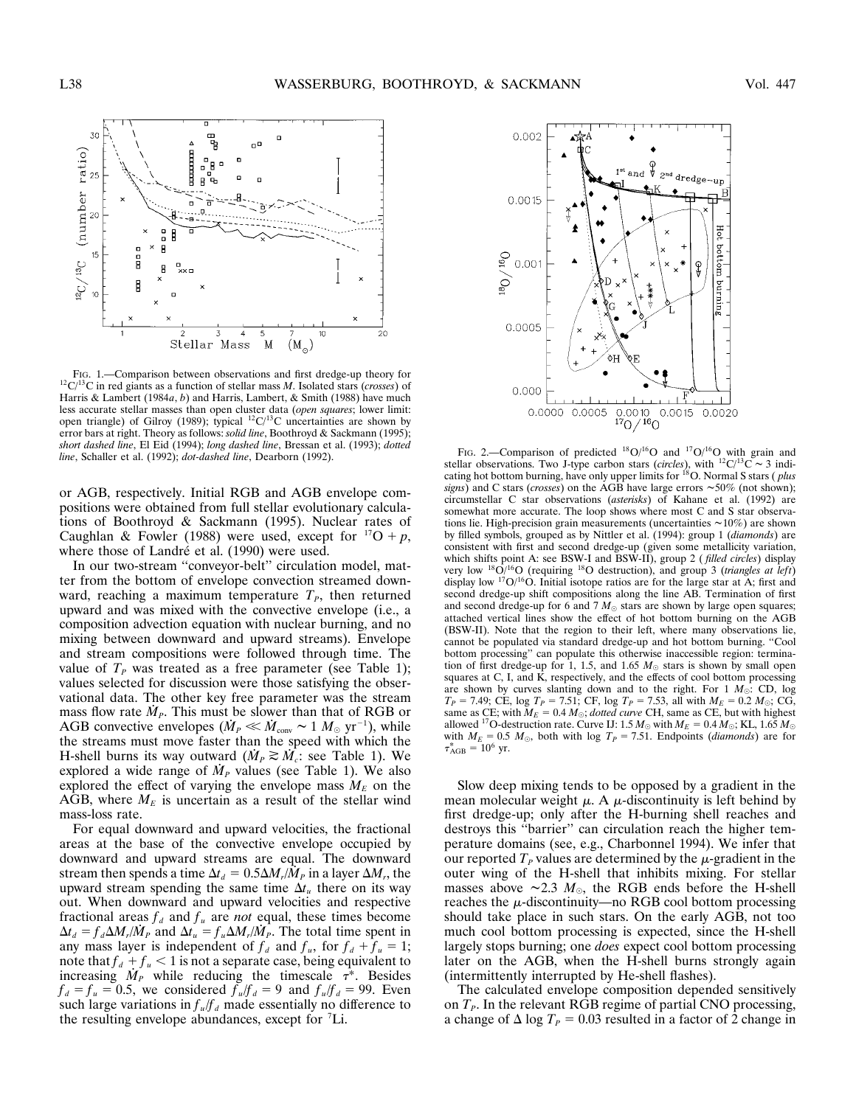

FIG. 1.—Comparison between observations and first dredge-up theory for 12C/13C in red giants as a function of stellar mass *<sup>M</sup>*. Isolated stars (*crosses*) of Harris & Lambert (1984*a*, *b*) and Harris, Lambert, & Smith (1988) have much less accurate stellar masses than open cluster data (*open squares*; lower limit: open triangle) of Gilroy (1989); typical  ${}^{12}C/{}^{13}C$  uncertainties are shown by error bars at right. Theory as follows: *solid line*, Boothroyd & Sackmann (1995); *short dashed line*, El Eid (1994); *long dashed line*, Bressan et al. (1993); *dotted*

or AGB, respectively. Initial RGB and AGB envelope compositions were obtained from full stellar evolutionary calculations of Boothroyd & Sackmann (1995). Nuclear rates of Caughlan & Fowler (1988) were used, except for  $^{17}O + p$ , where those of Landré et al. (1990) were used.

In our two-stream ''conveyor-belt'' circulation model, matter from the bottom of envelope convection streamed downward, reaching a maximum temperature  $T<sub>P</sub>$ , then returned upward and was mixed with the convective envelope (i.e., a composition advection equation with nuclear burning, and no mixing between downward and upward streams). Envelope and stream compositions were followed through time. The value of  $T_P$  was treated as a free parameter (see Table 1); values selected for discussion were those satisfying the observational data. The other key free parameter was the stream mass flow rate  $\dot{M}_P$ . This must be slower than that of RGB or AGB convective envelopes ( $\dot{M}_P \ll \dot{M}_{\text{conv}} \sim 1 M_{\odot} \text{ yr}^{-1}$ ), while the streams must move faster than the speed with which the H-shell burns its way outward  $(M_P \geq M_c$ : see Table 1). We explored a wide range of  $\dot{M}_P$  values (see Table 1). We also explored the effect of varying the envelope mass  $M_E$  on the AGB, where  $M_E$  is uncertain as a result of the stellar wind mass-loss rate.

For equal downward and upward velocities, the fractional areas at the base of the convective envelope occupied by downward and upward streams are equal. The downward stream then spends a time  $\Delta t_d = 0.5 \Delta M_r / \dot{M}_P$  in a layer  $\Delta M_r$ , the upward stream spending the same time  $\Delta t_u$  there on its way out. When downward and upward velocities and respective fractional areas  $f_d$  and  $f_u$  are *not* equal, these times become  $\Delta t_d = f_d \Delta M_r / \dot{M}_P$  and  $\Delta t_u = f_u \Delta M_r / \dot{M}_P$ . The total time spent in any mass layer is independent of  $f_d$  and  $f_u$ , for  $f_d + f_u = 1$ ; note that  $f_d + f_u < 1$  is not a separate case, being equivalent to increasing  $\dot{M}_P$  while reducing the timescale  $\tau^*$ . Besides  $f_d = f_u = 0.5$ , we considered  $f_u/f_d = 9$  and  $f_u/f_d = 99$ . Even such large variations in *f <sup>u</sup>*/*f <sup>d</sup>* made essentially no difference to the resulting envelope abundances, except for <sup>7</sup> Li.



*SIGNAL USED AND THE CALLET CHARGE SCALLET CHARGE SCALLET CHARGE SCALLET CHARGE SCALLET CHARGE SCALLET CHARGE SCALLET CHARGE SCALLET CHARGE SCALLET CHARGE SCALLET CHARGE SCALLET ON STATISTIC ASSAUT AND SCALLET OBSETVATION* cating hot bottom burning, have only upper limits for <sup>18</sup>O. Normal S stars (*plus signs*) and C stars (*crosses*) on the AGB have large errors  $\sim 50\%$  (not shown); circumstellar C star observations (*asterisks*) of Kahane et al. (1992) are somewhat more accurate. The loop shows where most C and S star observations lie. High-precision grain measurements (uncertainties  $\sim$ 10%) are shown by filled symbols, grouped as by Nittler et al. (1994): group 1 (*diamonds*) are consistent with first and second dredge-up (given some metallicity variation, which shifts point A: see BSW-I and BSW-II), group 2 (*filled circles*) display very low <sup>18</sup>O/<sup>16</sup>O (requiring <sup>18</sup>O destruction), and group 3 (*triangles at left*) display low <sup>17</sup>O/<sup>16</sup>O. Initial isotope ratios are for the large star at A; first and second dredge-up shift compositions along the line AB. Termination of first and second dredge-up for 6 and 7  $M_{\odot}$  stars are shown by large open squares; attached vertical lines show the effect of hot bottom burning on the AGB (BSW-II). Note that the region to their left, where many observations lie, cannot be populated via standard dredge-up and hot bottom burning. ''Cool bottom processing'' can populate this otherwise inaccessible region: termination of first dredge-up for 1, 1.5, and 1.65  $M_{\odot}$  stars is shown by small open squares at C, I, and K, respectively, and the effects of cool bottom processing are shown by curves slanting down and to the right. For  $1 M_{\odot}$ : CD, log  $T_P = 7.49$ ; CE, log  $T_P = 7.51$ ; CF, log  $T_P = 7.53$ , all with  $M_E = 0.2 M_{\odot}$ ; CG, same as CE; with  $M_E = 0.4 M_{\odot}$ ; *dotted curve* CH, same as CE, but with highest allowed <sup>17</sup>O-destruction rate. Curve IJ: 1.5  $M_{\odot}$  with  $M_E = 0.4 M_{\odot}$ ; KL, 1.65  $M_{\odot}$ with  $M_E = 0.5$   $M_{\odot}$ , both with log  $T_P = 7.51$ . Endpoints (*diamonds*) are for  $\tau_{\rm AGB}^* = 10^6$  yr.

Slow deep mixing tends to be opposed by a gradient in the mean molecular weight  $\mu$ . A  $\mu$ -discontinuity is left behind by first dredge-up; only after the H-burning shell reaches and destroys this ''barrier'' can circulation reach the higher temperature domains (see, e.g., Charbonnel 1994). We infer that our reported  $T<sub>P</sub>$  values are determined by the  $\mu$ -gradient in the outer wing of the H-shell that inhibits mixing. For stellar masses above  $\sim$ 2.3  $M_{\odot}$ , the RGB ends before the H-shell reaches the  $\mu$ -discontinuity—no RGB cool bottom processing should take place in such stars. On the early AGB, not too much cool bottom processing is expected, since the H-shell largely stops burning; one *does* expect cool bottom processing later on the AGB, when the H-shell burns strongly again (intermittently interrupted by He-shell flashes).

The calculated envelope composition depended sensitively on  $T<sub>P</sub>$ . In the relevant RGB regime of partial CNO processing, a change of  $\Delta \log T_P = 0.03$  resulted in a factor of 2 change in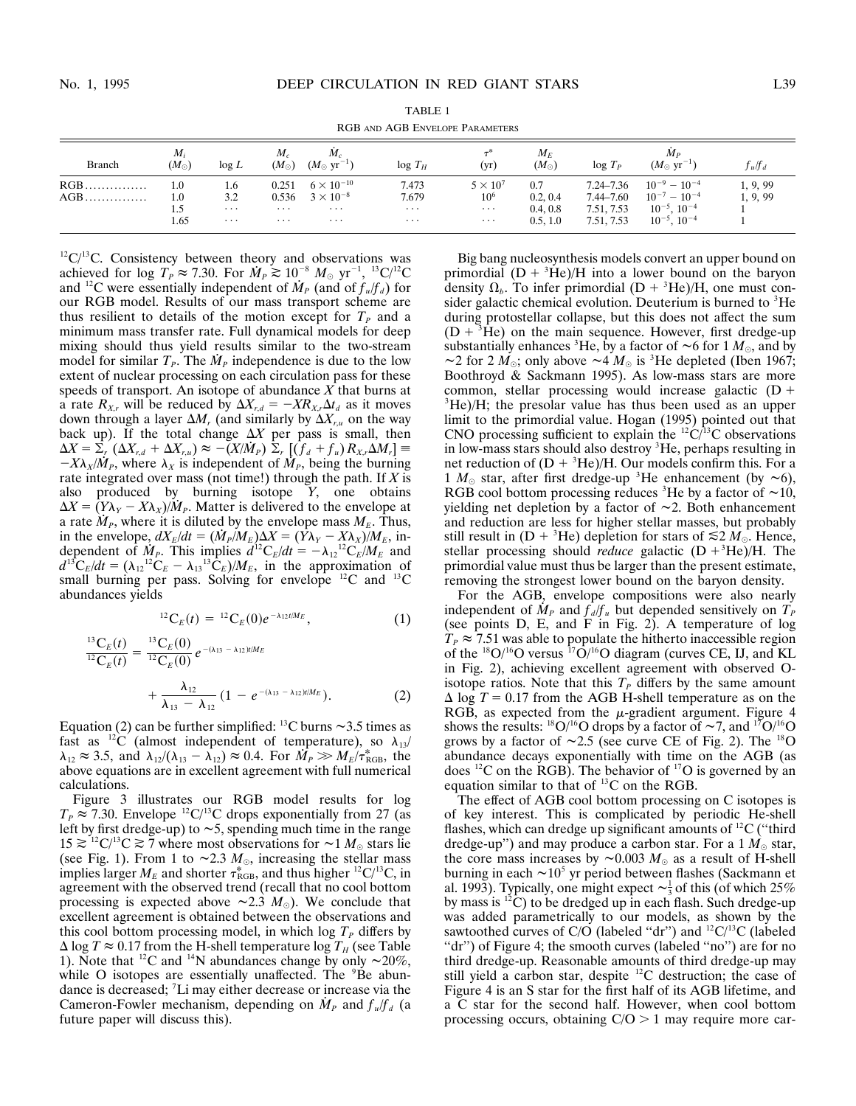| RGB AND AGB ENVELOPE PARAMETERS |                                   |                                    |                                 |                                                                   |                                        |                                                            |                                         |                                                        |                                                                                                     |                      |
|---------------------------------|-----------------------------------|------------------------------------|---------------------------------|-------------------------------------------------------------------|----------------------------------------|------------------------------------------------------------|-----------------------------------------|--------------------------------------------------------|-----------------------------------------------------------------------------------------------------|----------------------|
| <b>Branch</b>                   | $M_i$<br>$(M_{\odot})$            | $\log L$                           | $M_c$<br>$(M_{\odot})$          | $M_{c}$<br>$(M_{\odot} \text{ yr}^{-1})$                          | $log T_H$                              | (yr)                                                       | $M_E$<br>$(M_{\odot})$                  | $log T_P$                                              | $M_P$<br>$(M_{\odot} \text{ yr}^{-1})$                                                              | $f_u/f_d$            |
| RGB<br>AGB                      | $1.0\,$<br>$1.0\,$<br>1.5<br>1.65 | 1.6<br>3.2<br>$\cdots$<br>$\cdots$ | 0.251<br>0.536<br>$\cdots$<br>. | $6 \times 10^{-10}$<br>$3 \times 10^{-8}$<br>$\cdots$<br>$\cdots$ | 7.473<br>7.679<br>$\cdots$<br>$\cdots$ | $5 \times 10^7$<br>10 <sup>6</sup><br>$\cdots$<br>$\cdots$ | 0.7<br>0.2, 0.4<br>0.4, 0.8<br>0.5, 1.0 | 7.24–7.36<br>$7.44 - 7.60$<br>7.51, 7.53<br>7.51, 7.53 | $10^{-9} - 10^{-4}$<br>$10^{-7}$<br>$-10^{-4}$<br>$10^{-5}$ .<br>$10^{-4}$<br>$10^{-5}$ , $10^{-4}$ | 1, 9, 99<br>1, 9, 99 |

TABLE 1

 $12^1C^{13}C$ . Consistency between theory and observations was achieved for log  $T_P \approx 7.30$ . For  $\dot{M}_P \gtrsim 10^{-8}$   $M_\odot$  yr<sup>-1</sup>, <sup>13</sup>C/<sup>12</sup>C and <sup>12</sup>C were essentially independent of  $\dot{M}_P$  (and of  $f_u/f_d$ ) for our RGB model. Results of our mass transport scheme are thus resilient to details of the motion except for  $T<sub>P</sub>$  and a minimum mass transfer rate. Full dynamical models for deep mixing should thus yield results similar to the two-stream model for similar  $T<sub>P</sub>$ . The  $M<sub>P</sub>$  independence is due to the low extent of nuclear processing on each circulation pass for these speeds of transport. An isotope of abundance *X* that burns at a rate  $R_{X,r}$  will be reduced by  $\Delta X_{r,d} = -X R_{X,r} \Delta t_d$  as it moves down through a layer  $\Delta M_r$  (and similarly by  $\Delta X_{r,u}$  on the way back up). If the total change  $\Delta X$  per pass is small, then  $\Delta X = \sum_{r} (\Delta X_{r,d} + \Delta X_{r,u}) \approx -(X/\dot{M}_P) \sum_{r} [(f_d + f_u) R_{X,r} \Delta M_r] \equiv$  $-X\lambda_X/M_P$ , where  $\lambda_X$  is independent of  $M_P$ , being the burning rate integrated over mass (not time!) through the path. If *X* is also produced by burning isotope *Y*, one obtains  $\Delta X = (Y\lambda_Y - X\lambda_X)/M_P$ . Matter is delivered to the envelope at a rate  $M_P$ , where it is diluted by the envelope mass  $M_E$ . Thus, in the envelope,  $dX_E/dt = (\dot{M}_P/M_E)\Delta X = (\dot{Y}\lambda_Y - X\lambda_X)/M_E$ , independent of  $\dot{M}_P$ . This implies  $d^{12}C_E/dt = -\lambda_{12}^{12}C_E/M_E$  and  $d^{13}C_E/dt = (\lambda_{12}^{12}C_E - \lambda_{13}^{13}C_E)/M_E$ , in the approximation of small burning per pass. Solving for envelope  $^{12}$ C and  $^{13}$ C abundances yields

$$
^{12}C_E(t) = {}^{12}C_E(0)e^{-\lambda_{12}t/M_E}, \qquad (1)
$$

$$
\frac{^{13}C_E(t)}{^{12}C_E(t)} = \frac{^{13}C_E(0)}{^{12}C_E(0)} e^{-(\lambda_{13} - \lambda_{12})t/M_E} + \frac{\lambda_{12}}{\lambda_{13} - \lambda_{12}} (1 - e^{-(\lambda_{13} - \lambda_{12})t/M_E}).
$$
\n(2)

Equation (2) can be further simplified: <sup>13</sup>C burns  $\sim$ 3.5 times as fast as <sup>12</sup>C (almost independent of temperature), so  $\lambda_{13}$ /  $\lambda_{12} \approx 3.5$ , and  $\lambda_{12}/(\lambda_{13} - \lambda_{12}) \approx 0.4$ . For  $\dot{M}_P \gg M_E/\tau_{\text{RGB}}^*$ , the above equations are in excellent agreement with full numerical calculations.

Figure 3 illustrates our RGB model results for log  $T_P \approx 7.30$ . Envelope <sup>12</sup>C/<sup>13</sup>C drops exponentially from 27 (as left by first dredge-up) to  $\sim$  5, spending much time in the range  $15 \gtrsim {}^{12}C/{}^{13}C \gtrsim 7$  where most observations for  $\sim 1 M_{\odot}$  stars lie (see Fig. 1). From 1 to  $\sim$ 2.3  $M_{\odot}$ , increasing the stellar mass implies larger  $M_E$  and shorter  $\tau_{RGB}^*$ , and thus higher <sup>12</sup>C/<sup>13</sup>C, in agreement with the observed trend (recall that no cool bottom processing is expected above  $\sim$ 2.3 *M*<sub> $\odot$ </sub>). We conclude that excellent agreement is obtained between the observations and this cool bottom processing model, in which  $\log T_{P}$  differs by  $\Delta$  log  $T \approx 0.17$  from the H-shell temperature log  $T_H$  (see Table 1). Note that <sup>12</sup>C and <sup>14</sup>N abundances change by only  $\sim$ 20%, while O isotopes are essentially unaffected. The <sup>9</sup>Be abundance is decreased; <sup>7</sup> Li may either decrease or increase via the Cameron-Fowler mechanism, depending on  $\dot{M}_P$  and  $f_u/f_d$  (a future paper will discuss this).

Big bang nucleosynthesis models convert an upper bound on primordial  $(D + {}^{3}He)/H$  into a lower bound on the baryon density  $\Omega_b$ . To infer primordial  $(D + {}^{3}He)/H$ , one must consider galactic chemical evolution. Deuterium is burned to <sup>3</sup>He during protostellar collapse, but this does not affect the sum  $(D + {}^{3}He)$  on the main sequence. However, first dredge-up substantially enhances <sup>3</sup>He, by a factor of  $\sim$  6 for 1  $M_{\odot}$ , and by  $\sim$ 2 for 2  $\dot{M_{\odot}}$ ; only above  $\sim$ 4  $M_{\odot}$  is <sup>3</sup>He depleted (Iben 1967; Boothroyd & Sackmann 1995). As low-mass stars are more common, stellar processing would increase galactic  $(D +$ <sup>3</sup>He)/H; the presolar value has thus been used as an upper limit to the primordial value. Hogan (1995) pointed out that CNO processing sufficient to explain the  ${}^{12}C/{}^{13}C$  observations in low-mass stars should also destroy <sup>3</sup>He, perhaps resulting in net reduction of  $(D + {^{3}He})/H$ . Our models confirm this. For a 1  $M_{\odot}$  star, after first dredge-up <sup>3</sup>He enhancement (by  $\sim$ 6), RGB cool bottom processing reduces <sup>3</sup>He by a factor of  $\sim 10$ , yielding net depletion by a factor of  $\sim$ 2. Both enhancement and reduction are less for higher stellar masses, but probably still result in  $(D + {}^{3}He)$  depletion for stars of  $\leq 2 M_{\odot}$ . Hence, stellar processing should *reduce* galactic  $(D + 3He)/H$ . The primordial value must thus be larger than the present estimate, removing the strongest lower bound on the baryon density.

For the AGB, envelope compositions were also nearly independent of  $\dot{M}_P$  and  $f_d/f_u$  but depended sensitively on  $\dot{T}_P$ (see points D, E, and F in Fig. 2). A temperature of log  $T_P \approx 7.51$  was able to populate the hitherto inaccessible region of the  $^{18}O/^{16}O$  versus  $^{17}O/^{16}O$  diagram (curves CE, IJ, and KL in Fig. 2), achieving excellent agreement with observed Oisotope ratios. Note that this  $T<sub>P</sub>$  differs by the same amount  $\Delta$  log  $T = 0.17$  from the AGB H-shell temperature as on the RGB, as expected from the  $\mu$ -gradient argument. Figure 4 shows the results: <sup>18</sup>O/<sup>16</sup>O drops by a factor of  $\sim$ 7, and <sup>17</sup>O/<sup>16</sup>O grows by a factor of  $\sim 2.5$  (see curve CE of Fig. 2). The <sup>18</sup>O abundance decays exponentially with time on the AGB (as does  ${}^{12}C$  on the RGB). The behavior of  ${}^{17}O$  is governed by an equation similar to that of  $^{13}$ C on the RGB.

The effect of AGB cool bottom processing on C isotopes is of key interest. This is complicated by periodic He-shell flashes, which can dredge up significant amounts of  ${}^{12}C$  ("third") dredge-up") and may produce a carbon star. For a  $1 M_{\odot}$  star, the core mass increases by  $\sim 0.003 M_{\odot}$  as a result of H-shell burning in each  $\sim 10^5$  yr period between flashes (Sackmann et al. 1993). Typically, one might expect  $\sim \frac{1}{3}$  of this (of which 25% by mass is  ${}^{12}$ C) to be dredged up in each flash. Such dredge-up was added parametrically to our models, as shown by the sawtoothed curves of C/O (labeled "dr") and  ${}^{12}C/{}^{13}C$  (labeled ''dr'') of Figure 4; the smooth curves (labeled ''no'') are for no third dredge-up. Reasonable amounts of third dredge-up may still yield a carbon star, despite  ${}^{12}$ C destruction; the case of Figure 4 is an S star for the first half of its AGB lifetime, and a C star for the second half. However, when cool bottom processing occurs, obtaining  $C/O > 1$  may require more car-